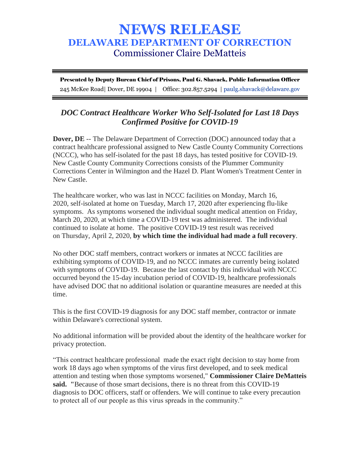## **NEWS RELEASE DELAWARE DEPARTMENT OF CORRECTION** Commissioner Claire DeMatteis

Presented by Deputy Bureau Chief of Prisons, Paul G. Shavack, Public Information Officer 245 McKee Road| Dover, DE 19904 | Office: 302.857.5294 | paulg.shavack@delaware.gov

## *DOC Contract Healthcare Worker Who Self-Isolated for Last 18 Days Confirmed Positive for COVID-19*

**Dover, DE** -- The Delaware Department of Correction (DOC) announced today that a contract healthcare professional assigned to New Castle County Community Corrections (NCCC), who has self-isolated for the past 18 days, has tested positive for COVID-19. New Castle County Community Corrections consists of the Plummer Community Corrections Center in Wilmington and the Hazel D. Plant Women's Treatment Center in New Castle.

The healthcare worker, who was last in NCCC facilities on Monday, March 16, 2020, self-isolated at home on Tuesday, March 17, 2020 after experiencing flu-like symptoms. As symptoms worsened the individual sought medical attention on Friday, March 20, 2020, at which time a COVID-19 test was administered. The individual continued to isolate at home. The positive COVID-19 test result was received on Thursday, April 2, 2020, **by which time the individual had made a full recovery**.

No other DOC staff members, contract workers or inmates at NCCC facilities are exhibiting symptoms of COVID-19, and no NCCC inmates are currently being isolated with symptoms of COVID-19. Because the last contact by this individual with NCCC occurred beyond the 15-day incubation period of COVID-19, healthcare professionals have advised DOC that no additional isolation or quarantine measures are needed at this time.

This is the first COVID-19 diagnosis for any DOC staff member, contractor or inmate within Delaware's correctional system.

No additional information will be provided about the identity of the healthcare worker for privacy protection.

"This contract healthcare professional made the exact right decision to stay home from work 18 days ago when symptoms of the virus first developed, and to seek medical attention and testing when those symptoms worsened," **Commissioner Claire DeMatteis said. "**Because of those smart decisions, there is no threat from this COVID-19 diagnosis to DOC officers, staff or offenders. We will continue to take every precaution to protect all of our people as this virus spreads in the community."